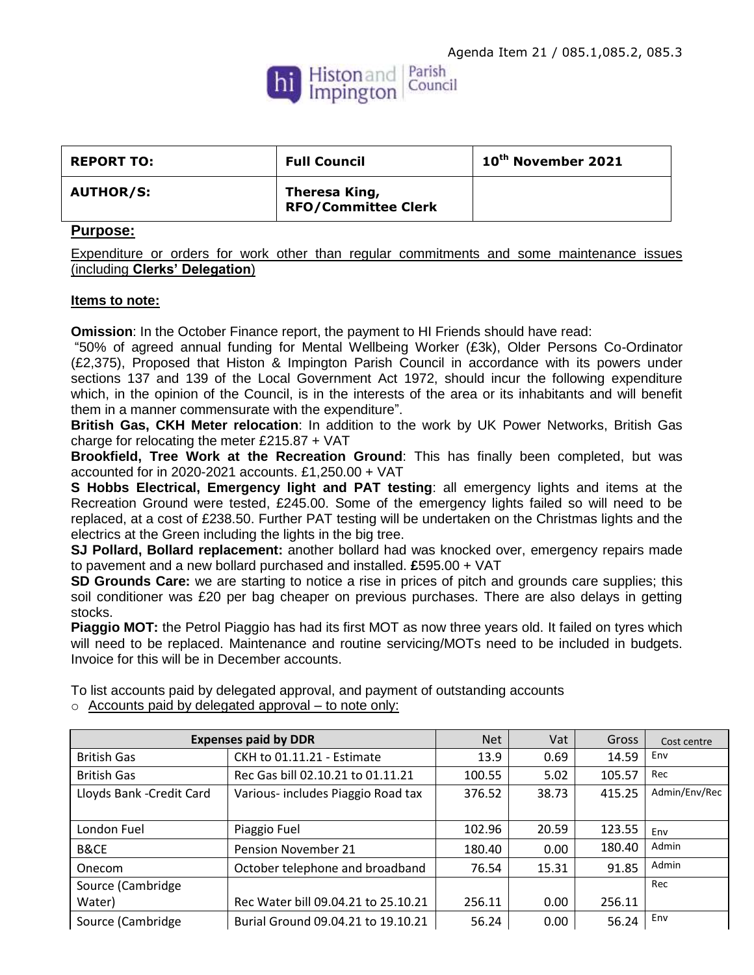

| <b>REPORT TO:</b> | <b>Full Council</b>                         | $10th$ November 2021 |
|-------------------|---------------------------------------------|----------------------|
| <b>AUTHOR/S:</b>  | Theresa King,<br><b>RFO/Committee Clerk</b> |                      |

## **Purpose:**

Expenditure or orders for work other than regular commitments and some maintenance issues (including **Clerks' Delegation**)

## **Items to note:**

**Omission**: In the October Finance report, the payment to HI Friends should have read:

"50% of agreed annual funding for Mental Wellbeing Worker (£3k), Older Persons Co-Ordinator (£2,375), Proposed that Histon & Impington Parish Council in accordance with its powers under sections 137 and 139 of the Local Government Act 1972, should incur the following expenditure which, in the opinion of the Council, is in the interests of the area or its inhabitants and will benefit them in a manner commensurate with the expenditure".

**British Gas, CKH Meter relocation**: In addition to the work by UK Power Networks, British Gas charge for relocating the meter £215.87 + VAT

**Brookfield, Tree Work at the Recreation Ground**: This has finally been completed, but was accounted for in 2020-2021 accounts. £1,250.00 + VAT

**S Hobbs Electrical, Emergency light and PAT testing**: all emergency lights and items at the Recreation Ground were tested, £245.00. Some of the emergency lights failed so will need to be replaced, at a cost of £238.50. Further PAT testing will be undertaken on the Christmas lights and the electrics at the Green including the lights in the big tree.

**SJ Pollard, Bollard replacement:** another bollard had was knocked over, emergency repairs made to pavement and a new bollard purchased and installed. **£**595.00 + VAT

**SD Grounds Care:** we are starting to notice a rise in prices of pitch and grounds care supplies; this soil conditioner was £20 per bag cheaper on previous purchases. There are also delays in getting stocks.

**Piaggio MOT:** the Petrol Piaggio has had its first MOT as now three years old. It failed on tyres which will need to be replaced. Maintenance and routine servicing/MOTs need to be included in budgets. Invoice for this will be in December accounts.

To list accounts paid by delegated approval, and payment of outstanding accounts  $\circ$  Accounts paid by delegated approval – to note only:

| <b>Expenses paid by DDR</b> |                                     | <b>Net</b> | Vat   | Gross  | Cost centre   |
|-----------------------------|-------------------------------------|------------|-------|--------|---------------|
| <b>British Gas</b>          | CKH to 01.11.21 - Estimate          | 13.9       | 0.69  | 14.59  | Env           |
| <b>British Gas</b>          | Rec Gas bill 02.10.21 to 01.11.21   | 100.55     | 5.02  | 105.57 | Rec           |
| Lloyds Bank - Credit Card   | Various-includes Piaggio Road tax   | 376.52     | 38.73 | 415.25 | Admin/Env/Rec |
|                             |                                     |            |       |        |               |
| London Fuel                 | Piaggio Fuel                        | 102.96     | 20.59 | 123.55 | Env           |
| <b>B&amp;CE</b>             | Pension November 21                 | 180.40     | 0.00  | 180.40 | Admin         |
| Onecom                      | October telephone and broadband     | 76.54      | 15.31 | 91.85  | Admin         |
| Source (Cambridge           |                                     |            |       |        | Rec           |
| Water)                      | Rec Water bill 09.04.21 to 25.10.21 | 256.11     | 0.00  | 256.11 |               |
| Source (Cambridge           | Burial Ground 09.04.21 to 19.10.21  | 56.24      | 0.00  | 56.24  | Env           |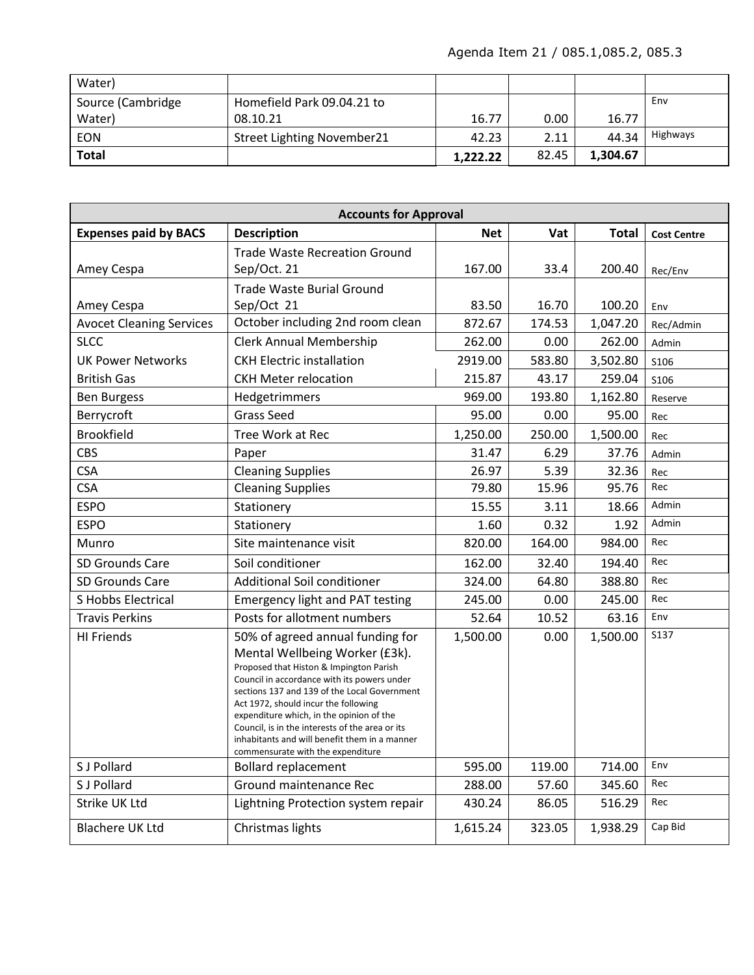| Water)            |                                   |          |       |          |          |
|-------------------|-----------------------------------|----------|-------|----------|----------|
| Source (Cambridge | Homefield Park 09.04.21 to        |          |       |          | Env      |
| Water)            | 08.10.21                          | 16.77    | 0.00  | 16.77    |          |
| <b>EON</b>        | <b>Street Lighting November21</b> | 42.23    | 2.11  | 44.34    | Highways |
| <b>Total</b>      |                                   | 1,222.22 | 82.45 | 1.304.67 |          |

| <b>Accounts for Approval</b>    |                                                                                                                                                                                                                                                                                                                                                                                                                                           |            |        |              |                    |
|---------------------------------|-------------------------------------------------------------------------------------------------------------------------------------------------------------------------------------------------------------------------------------------------------------------------------------------------------------------------------------------------------------------------------------------------------------------------------------------|------------|--------|--------------|--------------------|
| <b>Expenses paid by BACS</b>    | <b>Description</b>                                                                                                                                                                                                                                                                                                                                                                                                                        | <b>Net</b> | Vat    | <b>Total</b> | <b>Cost Centre</b> |
|                                 | <b>Trade Waste Recreation Ground</b>                                                                                                                                                                                                                                                                                                                                                                                                      |            |        |              |                    |
| Amey Cespa                      | Sep/Oct. 21                                                                                                                                                                                                                                                                                                                                                                                                                               | 167.00     | 33.4   | 200.40       | Rec/Env            |
|                                 | <b>Trade Waste Burial Ground</b>                                                                                                                                                                                                                                                                                                                                                                                                          |            |        |              |                    |
| Amey Cespa                      | Sep/Oct 21                                                                                                                                                                                                                                                                                                                                                                                                                                | 83.50      | 16.70  | 100.20       | Env                |
| <b>Avocet Cleaning Services</b> | October including 2nd room clean                                                                                                                                                                                                                                                                                                                                                                                                          | 872.67     | 174.53 | 1,047.20     | Rec/Admin          |
| <b>SLCC</b>                     | <b>Clerk Annual Membership</b>                                                                                                                                                                                                                                                                                                                                                                                                            | 262.00     | 0.00   | 262.00       | Admin              |
| <b>UK Power Networks</b>        | <b>CKH Electric installation</b>                                                                                                                                                                                                                                                                                                                                                                                                          | 2919.00    | 583.80 | 3,502.80     | S106               |
| <b>British Gas</b>              | <b>CKH Meter relocation</b>                                                                                                                                                                                                                                                                                                                                                                                                               | 215.87     | 43.17  | 259.04       | S106               |
| <b>Ben Burgess</b>              | Hedgetrimmers                                                                                                                                                                                                                                                                                                                                                                                                                             | 969.00     | 193.80 | 1,162.80     | Reserve            |
| Berrycroft                      | <b>Grass Seed</b>                                                                                                                                                                                                                                                                                                                                                                                                                         | 95.00      | 0.00   | 95.00        | Rec                |
| <b>Brookfield</b>               | Tree Work at Rec                                                                                                                                                                                                                                                                                                                                                                                                                          | 1,250.00   | 250.00 | 1,500.00     | Rec                |
| <b>CBS</b>                      | Paper                                                                                                                                                                                                                                                                                                                                                                                                                                     | 31.47      | 6.29   | 37.76        | Admin              |
| <b>CSA</b>                      | <b>Cleaning Supplies</b>                                                                                                                                                                                                                                                                                                                                                                                                                  | 26.97      | 5.39   | 32.36        | Rec                |
| <b>CSA</b>                      | <b>Cleaning Supplies</b>                                                                                                                                                                                                                                                                                                                                                                                                                  | 79.80      | 15.96  | 95.76        | Rec                |
| <b>ESPO</b>                     | Stationery                                                                                                                                                                                                                                                                                                                                                                                                                                | 15.55      | 3.11   | 18.66        | Admin              |
| <b>ESPO</b>                     | Stationery                                                                                                                                                                                                                                                                                                                                                                                                                                | 1.60       | 0.32   | 1.92         | Admin              |
| Munro                           | Site maintenance visit                                                                                                                                                                                                                                                                                                                                                                                                                    | 820.00     | 164.00 | 984.00       | Rec                |
| <b>SD Grounds Care</b>          | Soil conditioner                                                                                                                                                                                                                                                                                                                                                                                                                          | 162.00     | 32.40  | 194.40       | Rec                |
| SD Grounds Care                 | Additional Soil conditioner                                                                                                                                                                                                                                                                                                                                                                                                               | 324.00     | 64.80  | 388.80       | Rec                |
| S Hobbs Electrical              | <b>Emergency light and PAT testing</b>                                                                                                                                                                                                                                                                                                                                                                                                    | 245.00     | 0.00   | 245.00       | Rec                |
| <b>Travis Perkins</b>           | Posts for allotment numbers                                                                                                                                                                                                                                                                                                                                                                                                               | 52.64      | 10.52  | 63.16        | Env                |
| <b>HI Friends</b>               | 50% of agreed annual funding for<br>Mental Wellbeing Worker (£3k).<br>Proposed that Histon & Impington Parish<br>Council in accordance with its powers under<br>sections 137 and 139 of the Local Government<br>Act 1972, should incur the following<br>expenditure which, in the opinion of the<br>Council, is in the interests of the area or its<br>inhabitants and will benefit them in a manner<br>commensurate with the expenditure | 1,500.00   | 0.00   | 1,500.00     | S137               |
| S J Pollard                     | <b>Bollard replacement</b>                                                                                                                                                                                                                                                                                                                                                                                                                | 595.00     | 119.00 | 714.00       | Env                |
| S J Pollard                     | Ground maintenance Rec                                                                                                                                                                                                                                                                                                                                                                                                                    | 288.00     | 57.60  | 345.60       | Rec                |
| Strike UK Ltd                   | Lightning Protection system repair                                                                                                                                                                                                                                                                                                                                                                                                        | 430.24     | 86.05  | 516.29       | Rec                |
| <b>Blachere UK Ltd</b>          | Christmas lights                                                                                                                                                                                                                                                                                                                                                                                                                          | 1,615.24   | 323.05 | 1,938.29     | Cap Bid            |